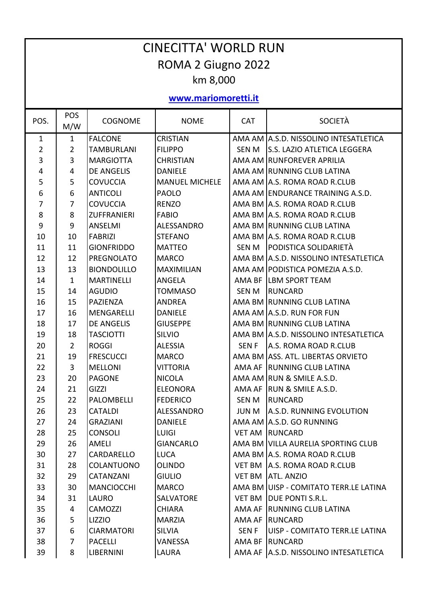| <b>CINECITTA' WORLD RUN</b> |                |                    |                       |              |                                         |  |  |  |  |  |
|-----------------------------|----------------|--------------------|-----------------------|--------------|-----------------------------------------|--|--|--|--|--|
| ROMA 2 Giugno 2022          |                |                    |                       |              |                                         |  |  |  |  |  |
| km 8,000                    |                |                    |                       |              |                                         |  |  |  |  |  |
| www.mariomoretti.it         |                |                    |                       |              |                                         |  |  |  |  |  |
| POS.                        | POS<br>M/W     | <b>COGNOME</b>     | <b>NOME</b>           | <b>CAT</b>   | <b>SOCIETÀ</b>                          |  |  |  |  |  |
| $\mathbf{1}$                | $\mathbf{1}$   | <b>FALCONE</b>     | <b>CRISTIAN</b>       |              | AMA AM A.S.D. NISSOLINO INTESATLETICA   |  |  |  |  |  |
| 2                           | $\overline{2}$ | <b>TAMBURLANI</b>  | <b>FILIPPO</b>        | <b>SEN M</b> | <b>S.S. LAZIO ATLETICA LEGGERA</b>      |  |  |  |  |  |
| 3                           | 3              | <b>MARGIOTTA</b>   | <b>CHRISTIAN</b>      |              | AMA AM RUNFOREVER APRILIA               |  |  |  |  |  |
| 4                           | 4              | <b>DE ANGELIS</b>  | <b>DANIELE</b>        |              | AMA AM RUNNING CLUB LATINA              |  |  |  |  |  |
| 5                           | 5              | <b>COVUCCIA</b>    | <b>MANUEL MICHELE</b> |              | AMA AM A.S. ROMA ROAD R.CLUB            |  |  |  |  |  |
| 6                           | 6              | <b>ANTICOLI</b>    | <b>PAOLO</b>          |              | AMA AM ENDURANCE TRAINING A.S.D.        |  |  |  |  |  |
| 7                           | $\overline{7}$ | <b>COVUCCIA</b>    | <b>RENZO</b>          |              | AMA BM A.S. ROMA ROAD R.CLUB            |  |  |  |  |  |
| 8                           | 8              | <b>ZUFFRANIERI</b> | <b>FABIO</b>          |              | AMA BM A.S. ROMA ROAD R.CLUB            |  |  |  |  |  |
| 9                           | 9              | <b>ANSELMI</b>     | <b>ALESSANDRO</b>     |              | AMA BM RUNNING CLUB LATINA              |  |  |  |  |  |
| 10                          | 10             | <b>FABRIZI</b>     | <b>STEFANO</b>        |              | AMA BM A.S. ROMA ROAD R.CLUB            |  |  |  |  |  |
| 11                          | 11             | <b>GIONFRIDDO</b>  | <b>MATTEO</b>         | <b>SEN M</b> | <b>PODISTICA SOLIDARIETÀ</b>            |  |  |  |  |  |
| 12                          | 12             | <b>PREGNOLATO</b>  | <b>MARCO</b>          |              | AMA BM A.S.D. NISSOLINO INTESATLETICA   |  |  |  |  |  |
| 13                          | 13             | <b>BIONDOLILLO</b> | <b>MAXIMILIAN</b>     |              | AMA AM PODISTICA POMEZIA A.S.D.         |  |  |  |  |  |
| 14                          | $\mathbf{1}$   | <b>MARTINELLI</b>  | <b>ANGELA</b>         |              | AMA BF LBM SPORT TEAM                   |  |  |  |  |  |
| 15                          | 14             | <b>AGUDIO</b>      | <b>TOMMASO</b>        | <b>SEN M</b> | <b>RUNCARD</b>                          |  |  |  |  |  |
| 16                          | 15             | PAZIENZA           | <b>ANDREA</b>         |              | AMA BM RUNNING CLUB LATINA              |  |  |  |  |  |
| 17                          | 16             | MENGARELLI         | <b>DANIELE</b>        |              | AMA AM A.S.D. RUN FOR FUN               |  |  |  |  |  |
| 18                          | 17             | <b>DE ANGELIS</b>  | <b>GIUSEPPE</b>       |              | AMA BM RUNNING CLUB LATINA              |  |  |  |  |  |
| 19                          | 18             | <b>TASCIOTTI</b>   | <b>SILVIO</b>         |              | AMA BM A.S.D. NISSOLINO INTESATLETICA   |  |  |  |  |  |
| 20                          | $\overline{2}$ | <b>ROGGI</b>       | <b>ALESSIA</b>        | <b>SENF</b>  | A.S. ROMA ROAD R.CLUB                   |  |  |  |  |  |
| 21                          | 19             | <b>FRESCUCCI</b>   | <b>MARCO</b>          |              | AMA BM ASS. ATL. LIBERTAS ORVIETO       |  |  |  |  |  |
| 22                          | 3              | <b>MELLONI</b>     | <b>VITTORIA</b>       |              | AMA AF RUNNING CLUB LATINA              |  |  |  |  |  |
| 23                          | 20             | <b>PAGONE</b>      | <b>NICOLA</b>         |              | AMA AM RUN & SMILE A.S.D.               |  |  |  |  |  |
| 24                          | 21             | GIZZI              | <b>ELEONORA</b>       |              | AMA AF RUN & SMILE A.S.D.               |  |  |  |  |  |
| 25                          | 22             | <b>PALOMBELLI</b>  | <b>FEDERICO</b>       | SEN M        | RUNCARD                                 |  |  |  |  |  |
| 26                          | 23             | <b>CATALDI</b>     | ALESSANDRO            | JUN M        | <b>A.S.D. RUNNING EVOLUTION</b>         |  |  |  |  |  |
| 27                          | 24             | <b>GRAZIANI</b>    | <b>DANIELE</b>        |              | AMA AM A.S.D. GO RUNNING                |  |  |  |  |  |
| 28                          | 25             | <b>CONSOLI</b>     | <b>LUIGI</b>          |              | <b>VET AM IRUNCARD</b>                  |  |  |  |  |  |
| 29                          | 26             | AMELI              | <b>GIANCARLO</b>      |              | AMA BM VILLA AURELIA SPORTING CLUB      |  |  |  |  |  |
| 30                          | 27             | CARDARELLO         | <b>LUCA</b>           |              | AMA BM A.S. ROMA ROAD R.CLUB            |  |  |  |  |  |
| 31                          | 28             | COLANTUONO         | <b>OLINDO</b>         |              | VET BM   A.S. ROMA ROAD R.CLUB          |  |  |  |  |  |
| 32                          | 29             | <b>CATANZANI</b>   | <b>GIULIO</b>         |              | <b>VET BM ATL. ANZIO</b>                |  |  |  |  |  |
| 33                          | 30             | <b>MANCIOCCHI</b>  | <b>MARCO</b>          |              | AMA BM UISP - COMITATO TERR.LE LATINA   |  |  |  |  |  |
| 34                          | 31             | LAURO              | <b>SALVATORE</b>      |              | VET BM DUE PONTI S.R.L.                 |  |  |  |  |  |
| 35                          | 4              | <b>CAMOZZI</b>     | <b>CHIARA</b>         |              | AMA AF RUNNING CLUB LATINA              |  |  |  |  |  |
| 36                          | 5              | LIZZIO             | <b>MARZIA</b>         |              | AMA AF RUNCARD                          |  |  |  |  |  |
| 37                          | 6              | <b>CIARMATORI</b>  | <b>SILVIA</b>         | SEN F        | UISP - COMITATO TERR.LE LATINA          |  |  |  |  |  |
| 38                          | 7              | <b>PACELLI</b>     | <b>VANESSA</b>        |              | AMA BF RUNCARD                          |  |  |  |  |  |
| 39                          | 8              | <b>LIBERNINI</b>   | LAURA                 |              | AMA AF   A.S.D. NISSOLINO INTESATLETICA |  |  |  |  |  |